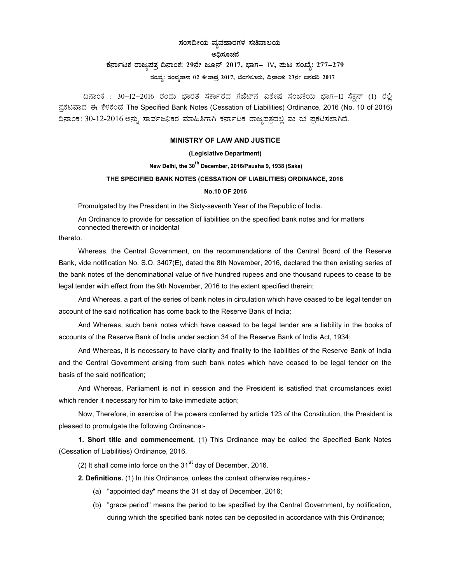## ಸಂಸದೀಯ ವ್ಯವಹಾರಗಳ ಸಚಿವಾಲಯ

### ಅದಿಸೂಚನೆ

# ಕರ್ನಾಟಕ ರಾಜ್ಯಪತ್ರ ದಿನಾಂಕ: 29ನೇ ಜೂನ್ 2017, ಭಾಗ– IV, ಮಟ ಸಂಖ್ಯೆ: 277-279

 $x$ ನಂಖ್ಯೆ: ಸಂವ್ಯಶಾಇ 02 ಕೇಶಾಪ್ರ 2017, ಬೆಂಗಳೂರು, ದಿನಾಂಕ: 23ನೇ ಜನವರಿ 2017

ದಿನಾಂಕ : 30−12−2016 ರಂದು ಭಾರತ ಸರ್ಕಾರದ ಗೆಜೆಟ್ನ ವಿಶೇಷ ಸಂಚಿಕೆಯ ಭಾಗ−II ಸೆಕ್ಷನ್ (1) ರಲ್ಲಿ ಪ್ರಕಟವಾದ ಈ ಕೆಳಕಂಡ The Specified Bank Notes (Cessation of Liabilities) Ordinance, 2016 (No. 10 of 2016) ದಿನಾಂಕ: 30-12-2016 ಅನ್ನು ಸಾರ್ವಜನಿಕರ ಮಾಹಿತಿಗಾಗಿ ಕರ್ನಾಟಕ ರಾಜ್ಯಪತ್ರದಲ್ಲಿ ಮ ರು ಪ್ರಕಟಿಸಲಾಗಿದೆ.

### MINISTRY OF LAW AND JUSTICE

### (Legislative Department)

# New Delhi, the 30<sup>th</sup> December, 2016/Pausha 9, 1938 (Saka)

## THE SPECIFIED BANK NOTES (CESSATION OF LIABILITIES) ORDINANCE, 2016

#### No.10 OF 2016

Promulgated by the President in the Sixty-seventh Year of the Republic of India.

An Ordinance to provide for cessation of liabilities on the specified bank notes and for matters connected therewith or incidental

thereto.

Whereas, the Central Government, on the recommendations of the Central Board of the Reserve Bank, vide notification No. S.O. 3407(E), dated the 8th November, 2016, declared the then existing series of the bank notes of the denominational value of five hundred rupees and one thousand rupees to cease to be legal tender with effect from the 9th November, 2016 to the extent specified therein;

And Whereas, a part of the series of bank notes in circulation which have ceased to be legal tender on account of the said notification has come back to the Reserve Bank of India;

And Whereas, such bank notes which have ceased to be legal tender are a liability in the books of accounts of the Reserve Bank of India under section 34 of the Reserve Bank of India Act, 1934;

And Whereas, it is necessary to have clarity and finality to the liabilities of the Reserve Bank of India and the Central Government arising from such bank notes which have ceased to be legal tender on the basis of the said notification;

And Whereas, Parliament is not in session and the President is satisfied that circumstances exist which render it necessary for him to take immediate action;

Now, Therefore, in exercise of the powers conferred by article 123 of the Constitution, the President is pleased to promulgate the following Ordinance:-

1. Short title and commencement. (1) This Ordinance may be called the Specified Bank Notes (Cessation of Liabilities) Ordinance, 2016.

(2) It shall come into force on the  $31<sup>st</sup>$  day of December. 2016.

2. Definitions. (1) In this Ordinance, unless the context otherwise requires,-

- (a) "appointed day" means the 31 st day of December, 2016;
- (b) "grace period" means the period to be specified by the Central Government, by notification, during which the specified bank notes can be deposited in accordance with this Ordinance;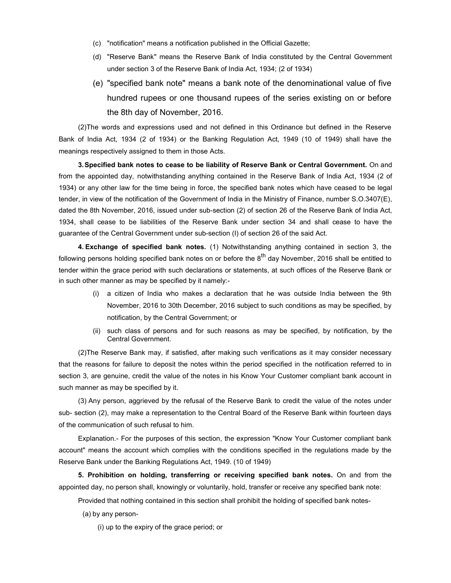- (c) "notification" means a notification published in the Official Gazette;
- (d) "Reserve Bank" means the Reserve Bank of India constituted by the Central Government under section 3 of the Reserve Bank of India Act, 1934; (2 of 1934)
- (e) "specified bank note" means a bank note of the denominational value of five hundred rupees or one thousand rupees of the series existing on or before the 8th day of November, 2016.

(2) The words and expressions used and not defined in this Ordinance but defined in the Reserve Bank of India Act, 1934 (2 of 1934) or the Banking Regulation Act, 1949 (10 of 1949) shall have the meanings respectively assigned to them in those Acts.

3. Specified bank notes to cease to be liability of Reserve Bank or Central Government. On and from the appointed day, notwithstanding anything contained in the Reserve Bank of India Act, 1934 (2 of 1934) or any other law for the time being in force, the specified bank notes which have ceased to be legal tender, in view of the notification of the Government of India in the Ministry of Finance, number S.O.3407(E), dated the 8th November, 2016, issued under sub-section (2) of section 26 of the Reserve Bank of India Act, 1934, shall cease to be liabilities of the Reserve Bank under section 34 and shall cease to have the guarantee of the Central Government under sub-section (I) of section 26 of the said Act.

4. Exchange of specified bank notes. (1) Notwithstanding anything contained in section 3, the following persons holding specified bank notes on or before the  $8^{th}$  day November, 2016 shall be entitled to tender within the grace period with such declarations or statements, at such offices of the Reserve Bank or in such other manner as may be specified by it namely:-

- (i) a citizen of India who makes a declaration that he was outside India between the 9th November, 2016 to 30th December, 2016 subject to such conditions as may be specified, by notification, by the Central Government; or
- (ii) such class of persons and for such reasons as may be specified, by notification, by the Central Government.

(2) The Reserve Bank may, if satisfied, after making such verifications as it may consider necessary that the reasons for failure to deposit the notes within the period specified in the notification referred to in section 3, are genuine, credit the value of the notes in his Know Your Customer compliant bank account in such manner as may be specified by it.

(3) Any person, aggrieved by the refusal of the Reserve Bank to credit the value of the notes under sub- section (2), may make a representation to the Central Board of the Reserve Bank within fourteen days of the communication of such refusal to him.

Explanation.- For the purposes of this section, the expression "Know Your Customer compliant bank account" means the account which complies with the conditions specified in the regulations made by the Reserve Bank under the Banking Regulations Act, 1949. (10 of 1949)

5. Prohibition on holding, transferring or receiving specified bank notes. On and from the appointed day, no person shall, knowingly or voluntarily, hold, transfer or receive any specified bank note:

Provided that nothing contained in this section shall prohibit the holding of specified bank notes-

(a) by any person-

(i) up to the expiry of the grace period; or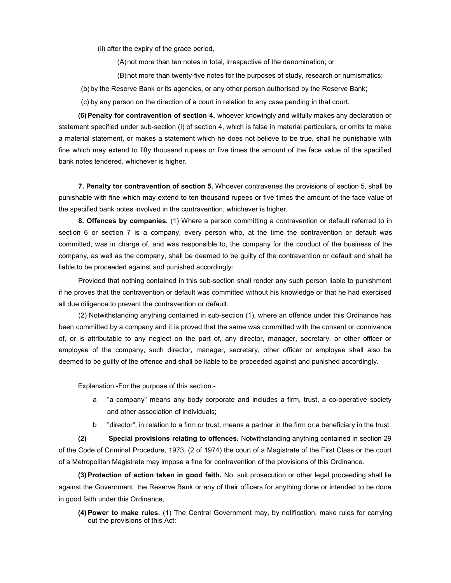(ii) after the expiry of the grace period,

(A) not more than ten notes in total, irrespective of the denomination; or

(B) not more than twenty-five notes for the purposes of study, research or numismatics;

(b) by the Reserve Bank or its agencies, or any other person authorised by the Reserve Bank;

(c) by any person on the direction of a court in relation to any case pending in that court.

(6) Penalty for contravention of section 4. whoever knowingly and wilfully makes any declaration or statement specified under sub-section (I) of section 4, which is false in material particulars, or omits to make a material statement, or makes a statement which he does not believe to be true, shall he punishable with fine which may extend to fifty thousand rupees or five times the amount of the face value of the specified bank notes tendered. whichever is higher.

7. Penalty tor contravention of section 5. Whoever contravenes the provisions of section 5, shall be punishable with fine which may extend to ten thousand rupees or five times the amount of the face value of the specified bank notes involved in the contravention, whichever is higher.

8. Offences by companies. (1) Where a person committing a contravention or default referred to in section 6 or section 7 is a company, every person who, at the time the contravention or default was committed, was in charge of, and was responsible to, the company for the conduct of the business of the company, as well as the company, shall be deemed to be guilty of the contravention or default and shall be liable to be proceeded against and punished accordingly:

Provided that nothing contained in this sub-section shall render any such person liable to punishment if he proves that the contravention or default was committed without his knowledge or that he had exercised all due diligence to prevent the contravention or default.

(2) Notwithstanding anything contained in sub-section (1), where an offence under this Ordinance has been committed by a company and it is proved that the same was committed with the consent or connivance of, or is attributable to any neglect on the part of, any director, manager, secretary, or other officer or employee of the company, such director, manager, secretary, other officer or employee shall also be deemed to be guilty of the offence and shall be liable to be proceeded against and punished accordingly.

Explanation.-For the purpose of this section.-

- a "a company" means any body corporate and includes a firm, trust, a co-operative society and other association of individuals;
- b "director", in relation to a firm or trust, means a partner in the firm or a beneficiary in the trust.

(2) Special provisions relating to offences. Notwithstanding anything contained in section 29 of the Code of Criminal Procedure, 1973, (2 of 1974) the court of a Magistrate of the First Class or the court of a Metropolitan Magistrate may impose a fine for contravention of the provisions of this Ordinance.

(3) Protection of action taken in good faith. No. suit prosecution or other legal proceeding shall lie against the Government, the Reserve Bank or any of their officers for anything done or intended to be done in good faith under this Ordinance,

(4) Power to make rules. (1) The Central Government may, by notification, make rules for carrying out the provisions of this Act: